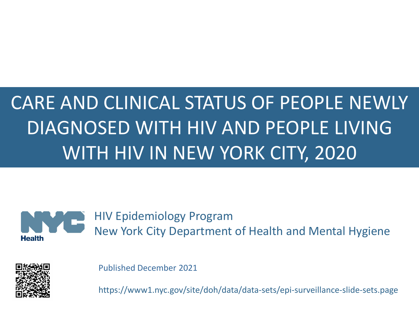# CARE AND CLINICAL STATUS OF PEOPLE NEWLY DIAGNOSED WITH HIV AND PEOPLE LIVING WITH HIV IN NEW YORK CITY, 2020



HIV Epidemiology Program New York City Department of Health and Mental Hygiene



Published December 2021

https://www1.nyc.gov/site/doh/data/data-sets/epi-surveillance-slide-sets.page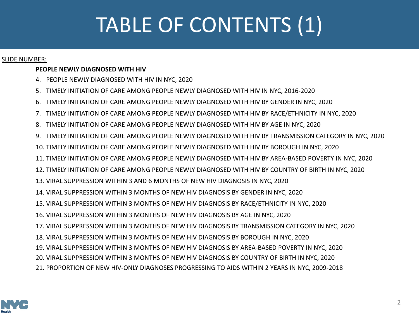# TABLE OF CONTENTS (1)

#### SLIDE NUMBER:

#### **PEOPLE NEWLY DIAGNOSED WITH HIV**

- 4. [PEOPLE NEWLY DIAGNOSED WITH HIV IN NYC, 2020](#page-3-0)
- 5. [TIMELY INITIATION OF CARE AMONG PEOPLE NEWLY DIAGNOSED WITH HIV IN NYC, 2016-2020](#page-4-0)
- 6. [TIMELY INITIATION OF CARE AMONG PEOPLE NEWLY DIAGNOSED WITH HIV BY GENDER IN NYC, 2020](#page-5-0)
- 7. [TIMELY INITIATION OF CARE AMONG PEOPLE NEWLY DIAGNOSED WITH HIV BY RACE/ETHNICITY IN NYC, 2020](#page-6-0)
- 8. [TIMELY INITIATION OF CARE AMONG PEOPLE NEWLY DIAGNOSED WITH HIV BY AGE IN NYC, 2020](#page-7-0)
- 9. [TIMELY INITIATION OF CARE AMONG PEOPLE NEWLY DIAGNOSED WITH HIV BY TRANSMISSION CATEGORY IN NYC, 2020](#page-8-0)
- 10. [TIMELY INITIATION OF CARE AMONG PEOPLE NEWLY DIAGNOSED WITH HIV BY BOROUGH IN NYC, 2020](#page-9-0)
- 11. [TIMELY INITIATION OF CARE AMONG PEOPLE NEWLY DIAGNOSED WITH HIV BY AREA-BASED POVERTY IN NYC, 2020](#page-10-0)
- 12. [TIMELY INITIATION OF CARE AMONG PEOPLE NEWLY DIAGNOSED WITH HIV BY COUNTRY OF BIRTH IN NYC, 2020](#page-11-0)
- 13. [VIRAL SUPPRESSION WITHIN 3 AND 6 MONTHS OF NEW HIV DIAGNOSIS IN NYC, 2020](#page-12-0)
- 14. [VIRAL SUPPRESSION WITHIN 3 MONTHS OF NEW HIV DIAGNOSIS BY GENDER IN NYC, 2020](#page-13-0)
- 15. [VIRAL SUPPRESSION WITHIN 3 MONTHS OF NEW HIV DIAGNOSIS BY RACE/ETHNICITY IN NYC, 2020](#page-14-0)
- 16. [VIRAL SUPPRESSION WITHIN 3 MONTHS OF NEW HIV DIAGNOSIS BY AGE IN NYC, 2020](#page-15-0)
- 17. [VIRAL SUPPRESSION WITHIN 3 MONTHS OF NEW HIV DIAGNOSIS BY TRANSMISSION CATEGORY IN NYC, 2020](#page-16-0)
- 18. [VIRAL SUPPRESSION WITHIN 3 MONTHS OF NEW HIV DIAGNOSIS BY BOROUGH IN NYC, 2020](#page-17-0)
- 19. [VIRAL SUPPRESSION WITHIN 3 MONTHS OF NEW HIV DIAGNOSIS BY AREA-BASED POVERTY IN NYC, 2020](#page-18-0)
- 20. [VIRAL SUPPRESSION WITHIN 3 MONTHS OF NEW HIV DIAGNOSIS BY COUNTRY OF BIRTH IN NYC, 2020](#page-19-0)
- 21. [PROPORTION OF NEW HIV-ONLY DIAGNOSES PROGRESSING TO AIDS WITHIN 2 YEARS IN NYC, 2009-2018](#page-20-0)

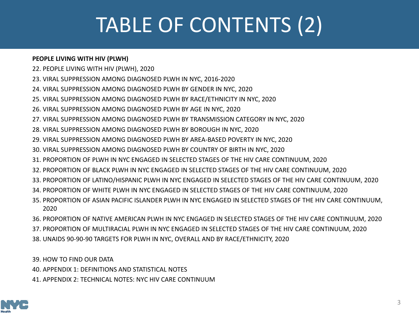# TABLE OF CONTENTS (2)

#### **PEOPLE LIVING WITH HIV (PLWH)**

- 22. [PEOPLE LIVING WITH HIV \(PLWH\), 2020](#page-21-0)
- 23. [VIRAL SUPPRESSION AMONG DIAGNOSED PLWH IN NYC, 2016-2020](#page-22-0)
- 24. [VIRAL SUPPRESSION AMONG DIAGNOSED PLWH BY GENDER IN NYC, 2020](#page-23-0)
- 25. [VIRAL SUPPRESSION AMONG DIAGNOSED PLWH BY RACE/ETHNICITY IN NYC, 2020](#page-24-0)
- 26. [VIRAL SUPPRESSION AMONG DIAGNOSED PLWH BY AGE IN NYC, 2020](#page-25-0)
- 27. [VIRAL SUPPRESSION AMONG DIAGNOSED PLWH BY TRANSMISSION CATEGORY IN NYC, 2020](#page-26-0)
- 28. [VIRAL SUPPRESSION AMONG DIAGNOSED PLWH BY BOROUGH IN NYC, 2020](#page-27-0)
- 29. [VIRAL SUPPRESSION AMONG DIAGNOSED PLWH BY AREA-BASED POVERTY IN NYC, 2020](#page-28-0)
- 30. [VIRAL SUPPRESSION AMONG DIAGNOSED PLWH BY COUNTRY OF BIRTH IN NYC, 2020](#page-29-0)
- 31. [PROPORTION OF PLWH IN NYC ENGAGED IN SELECTED STAGES OF THE HIV CARE CONTINUUM, 2020](#page-30-0)
- 32. [PROPORTION OF BLACK PLWH IN NYC ENGAGED IN SELECTED STAGES OF THE HIV CARE CONTINUUM, 2020](#page-31-0)
- 33. [PROPORTION OF LATINO/HISPANIC PLWH IN NYC ENGAGED IN SELECTED STAGES OF THE HIV CARE CONTINUUM, 2020](#page-32-0)
- 34. [PROPORTION OF WHITE PLWH IN NYC ENGAGED IN SELECTED STAGES OF THE HIV CARE CONTINUUM, 2020](#page-33-0)
- 35. [PROPORTION OF ASIAN PACIFIC ISLANDER PLWH IN NYC ENGAGED IN SELECTED STAGES OF THE HIV CARE CONTINUUM,](#page-34-0)  2020
- 36. [PROPORTION OF NATIVE AMERICAN PLWH IN NYC ENGAGED IN SELECTED STAGES OF THE HIV CARE CONTINUUM, 2020](#page-35-0)
- 37. [PROPORTION OF MULTIRACIAL PLWH IN NYC ENGAGED IN SELECTED STAGES OF THE HIV CARE CONTINUUM, 2020](#page-36-0)
- 38. [UNAIDS 90-90-90 TARGETS FOR PLWH IN NYC, OVERALL AND BY RACE/ETHNICITY, 2020](#page-37-0)

39. [HOW TO FIND OUR DATA](#page-38-0)

- 40. [APPENDIX 1: DEFINITIONS AND STATISTICAL NOTES](#page-39-0)
- 41. [APPENDIX 2: TECHNICAL NOTES: NYC HIV CARE CONTINUUM](#page-40-0)

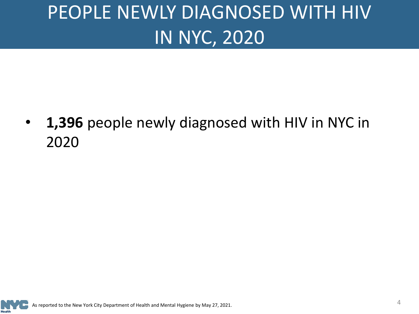# <span id="page-3-0"></span>PEOPLE NEWLY DIAGNOSED WITH HIV IN NYC, 2020

• **1,396** people newly diagnosed with HIV in NYC in 2020

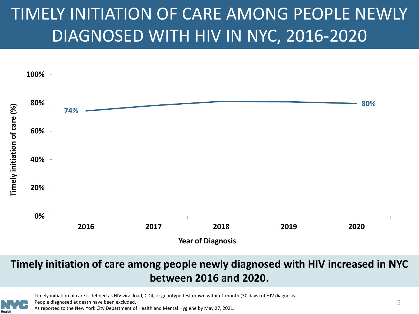## <span id="page-4-0"></span>TIMELY INITIATION OF CARE AMONG PEOPLE NEWLY DIAGNOSED WITH HIV IN NYC, 2016-2020



#### **Timely initiation of care among people newly diagnosed with HIV increased in NYC between 2016 and 2020.**

Timely initiation of care is defined as HIV viral load, CD4, or genotype test drawn within 1 month (30 days) of HIV diagnosis.

People diagnosed at death have been excluded.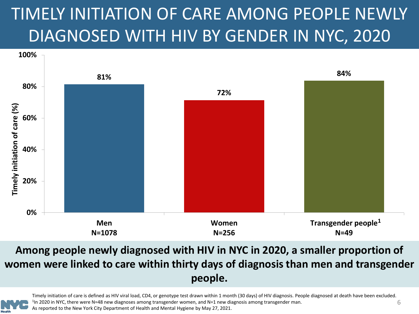## <span id="page-5-0"></span>TIMELY INITIATION OF CARE AMONG PEOPLE NEWLY DIAGNOSED WITH HIV BY GENDER IN NYC, 2020



#### **Among people newly diagnosed with HIV in NYC in 2020, a smaller proportion of women were linked to care within thirty days of diagnosis than men and transgender people.**



Timely initiation of care is defined as HIV viral load, CD4, or genotype test drawn within 1 month (30 days) of HIV diagnosis. People diagnosed at death have been excluded. 1In 2020 in NYC, there were N=48 new diagnoses among transgender women, and N=1 new diagnosis among transgender man.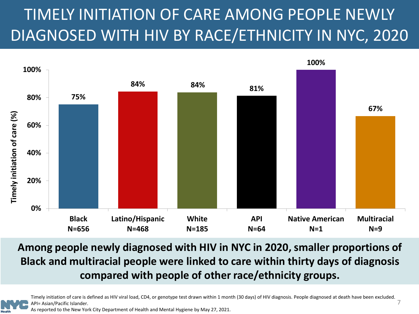### <span id="page-6-0"></span>TIMELY INITIATION OF CARE AMONG PEOPLE NEWLY DIAGNOSED WITH HIV BY RACE/ETHNICITY IN NYC, 2020



**Among people newly diagnosed with HIV in NYC in 2020, smaller proportions of Black and multiracial people were linked to care within thirty days of diagnosis compared with people of other race/ethnicity groups.**

Timely initiation of care is defined as HIV viral load, CD4, or genotype test drawn within 1 month (30 days) of HIV diagnosis. People diagnosed at death have been excluded. API= Asian/Pacific Islander.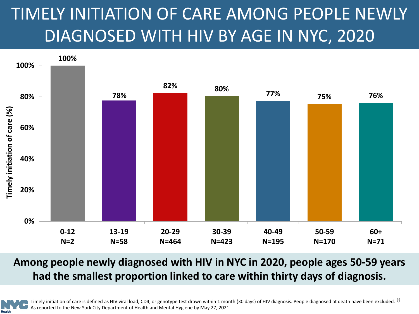## <span id="page-7-0"></span>TIMELY INITIATION OF CARE AMONG PEOPLE NEWLY DIAGNOSED WITH HIV BY AGE IN NYC, 2020



#### **Among people newly diagnosed with HIV in NYC in 2020, people ages 50-59 years had the smallest proportion linked to care within thirty days of diagnosis.**



Timely initiation of care is defined as HIV viral load, CD4, or genotype test drawn within 1 month (30 days) of HIV diagnosis. People diagnosed at death have been excluded.  $8$ As reported to the New York City Department of Health and Mental Hygiene by May 27, 2021.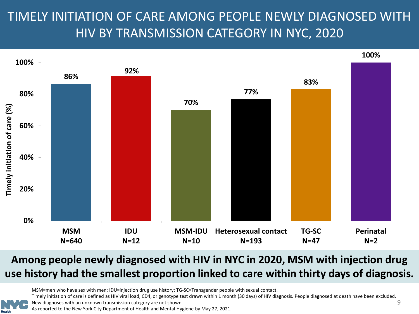### <span id="page-8-0"></span>TIMELY INITIATION OF CARE AMONG PEOPLE NEWLY DIAGNOSED WITH HIV BY TRANSMISSION CATEGORY IN NYC, 2020



#### **Among people newly diagnosed with HIV in NYC in 2020, MSM with injection drug use history had the smallest proportion linked to care within thirty days of diagnosis.**

MSM=men who have sex with men; IDU=injection drug use history; TG-SC=Transgender people with sexual contact.

Timely initiation of care is defined as HIV viral load, CD4, or genotype test drawn within 1 month (30 days) of HIV diagnosis. People diagnosed at death have been excluded.

New diagnoses with an unknown transmission category are not shown.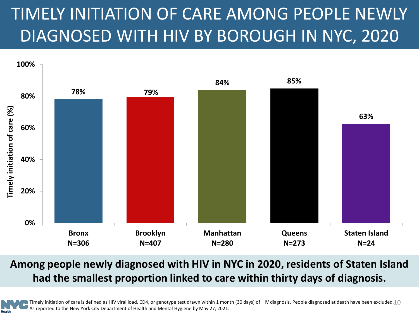## <span id="page-9-0"></span>TIMELY INITIATION OF CARE AMONG PEOPLE NEWLY DIAGNOSED WITH HIV BY BOROUGH IN NYC, 2020



#### **Among people newly diagnosed with HIV in NYC in 2020, residents of Staten Island had the smallest proportion linked to care within thirty days of diagnosis.**

As reported to the New York City Department of Health and Mental Hygiene by May 27, 2021.

Timely initiation of care is defined as HIV viral load, CD4, or genotype test drawn within 1 month (30 days) of HIV diagnosis. People diagnosed at death have been excluded. $10$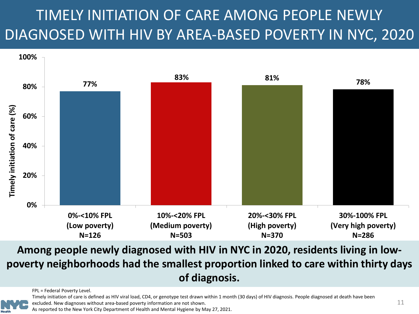### <span id="page-10-0"></span>TIMELY INITIATION OF CARE AMONG PEOPLE NEWLY DIAGNOSED WITH HIV BY AREA-BASED POVERTY IN NYC, 2020



**Among people newly diagnosed with HIV in NYC in 2020, residents living in lowpoverty neighborhoods had the smallest proportion linked to care within thirty days of diagnosis.**

FPL = Federal Poverty Level.



Timely initiation of care is defined as HIV viral load, CD4, or genotype test drawn within 1 month (30 days) of HIV diagnosis. People diagnosed at death have been excluded. New diagnoses without area-based poverty information are not shown.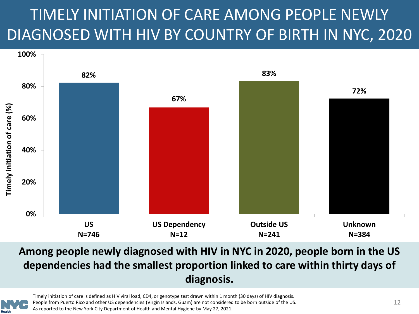### <span id="page-11-0"></span>TIMELY INITIATION OF CARE AMONG PEOPLE NEWLY DIAGNOSED WITH HIV BY COUNTRY OF BIRTH IN NYC, 2020



#### **Among people newly diagnosed with HIV in NYC in 2020, people born in the US dependencies had the smallest proportion linked to care within thirty days of diagnosis.**



Timely initiation of care is defined as HIV viral load, CD4, or genotype test drawn within 1 month (30 days) of HIV diagnosis. People from Puerto Rico and other US dependencies (Virgin Islands, Guam) are not considered to be born outside of the US. As reported to the New York City Department of Health and Mental Hygiene by May 27, 2021.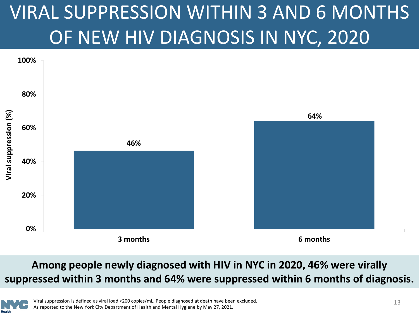# <span id="page-12-0"></span>VIRAL SUPPRESSION WITHIN 3 AND 6 MONTHS OF NEW HIV DIAGNOSIS IN NYC, 2020



#### **Among people newly diagnosed with HIV in NYC in 2020, 46% were virally suppressed within 3 months and 64% were suppressed within 6 months of diagnosis.**

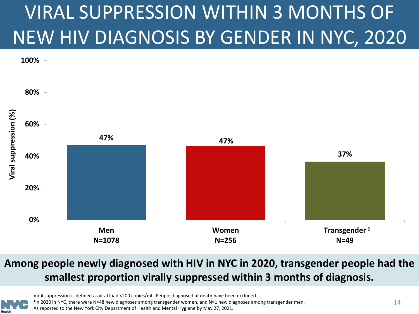# <span id="page-13-0"></span>VIRAL SUPPRESSION WITHIN 3 MONTHS OF NEW HIV DIAGNOSIS BY GENDER IN NYC, 2020



#### **Among people newly diagnosed with HIV in NYC in 2020, transgender people had the smallest proportion virally suppressed within 3 months of diagnosis.**



Viral suppression is defined as viral load <200 copies/mL. People diagnosed at death have been excluded.

1In 2020 in NYC, there were N=48 new diagnoses among transgender women, and N=1 new diagnoses among transgender men.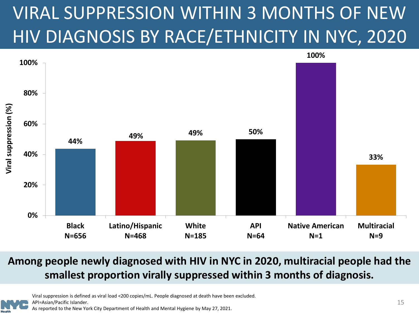## <span id="page-14-0"></span>VIRAL SUPPRESSION WITHIN 3 MONTHS OF NEW HIV DIAGNOSIS BY RACE/ETHNICITY IN NYC, 2020



#### **Among people newly diagnosed with HIV in NYC in 2020, multiracial people had the smallest proportion virally suppressed within 3 months of diagnosis.**



Viral suppression is defined as viral load <200 copies/mL. People diagnosed at death have been excluded. API=Asian/Pacific Islander.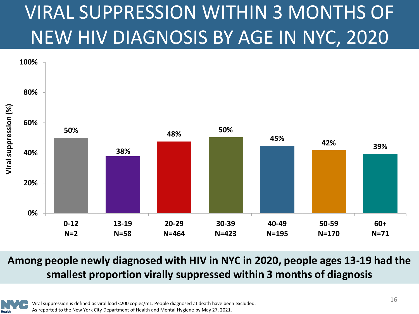# <span id="page-15-0"></span>VIRAL SUPPRESSION WITHIN 3 MONTHS OF NEW HIV DIAGNOSIS BY AGE IN NYC, 2020



**Among people newly diagnosed with HIV in NYC in 2020, people ages 13-19 had the smallest proportion virally suppressed within 3 months of diagnosis**

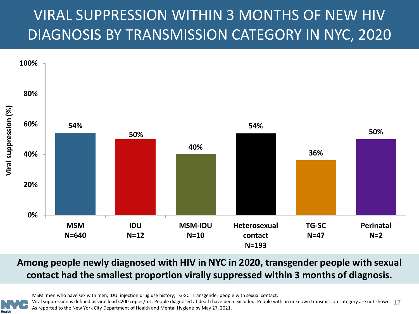### <span id="page-16-0"></span>VIRAL SUPPRESSION WITHIN 3 MONTHS OF NEW HIV DIAGNOSIS BY TRANSMISSION CATEGORY IN NYC, 2020



#### **Among people newly diagnosed with HIV in NYC in 2020, transgender people with sexual contact had the smallest proportion virally suppressed within 3 months of diagnosis.**

MSM=men who have sex with men; IDU=injection drug use history; TG-SC=Transgender people with sexual contact.

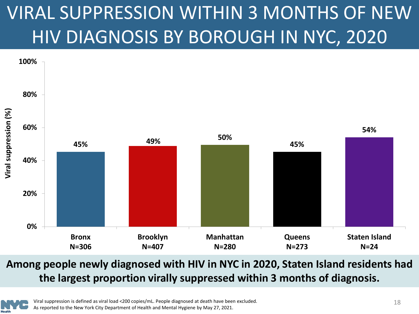# <span id="page-17-0"></span>VIRAL SUPPRESSION WITHIN 3 MONTHS OF NEW HIV DIAGNOSIS BY BOROUGH IN NYC, 2020



#### **Among people newly diagnosed with HIV in NYC in 2020, Staten Island residents had the largest proportion virally suppressed within 3 months of diagnosis.**

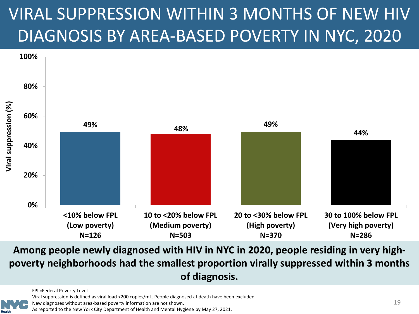## <span id="page-18-0"></span>VIRAL SUPPRESSION WITHIN 3 MONTHS OF NEW HIV DIAGNOSIS BY AREA-BASED POVERTY IN NYC, 2020



**Among people newly diagnosed with HIV in NYC in 2020, people residing in very highpoverty neighborhoods had the smallest proportion virally suppressed within 3 months of diagnosis.**

FPL=Federal Poverty Level.

Viral suppression is defined as viral load <200 copies/mL. People diagnosed at death have been excluded.

New diagnoses without area-based poverty information are not shown.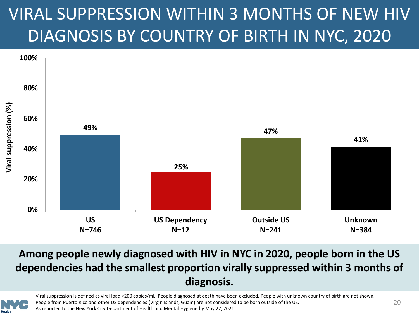## <span id="page-19-0"></span>VIRAL SUPPRESSION WITHIN 3 MONTHS OF NEW HIV DIAGNOSIS BY COUNTRY OF BIRTH IN NYC, 2020



#### **Among people newly diagnosed with HIV in NYC in 2020, people born in the US dependencies had the smallest proportion virally suppressed within 3 months of diagnosis.**



Viral suppression is defined as viral load <200 copies/mL. People diagnosed at death have been excluded. People with unknown country of birth are not shown. People from Puerto Rico and other US dependencies (Virgin Islands, Guam) are not considered to be born outside of the US. As reported to the New York City Department of Health and Mental Hygiene by May 27, 2021.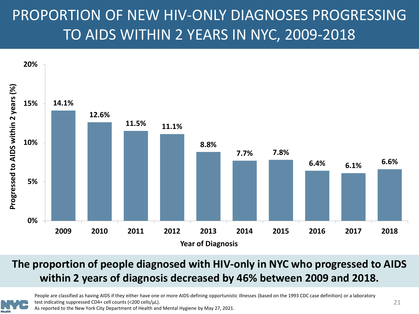### <span id="page-20-0"></span>PROPORTION OF NEW HIV-ONLY DIAGNOSES PROGRESSING TO AIDS WITHIN 2 YEARS IN NYC, 2009-2018



#### **The proportion of people diagnosed with HIV-only in NYC who progressed to AIDS within 2 years of diagnosis decreased by 46% between 2009 and 2018.**



People are classified as having AIDS if they either have one or more AIDS-defining opportunistic illnesses (based on the 1993 CDC case definition) or a laboratory test indicating suppressed CD4+ cell counts (<200 cells/µL).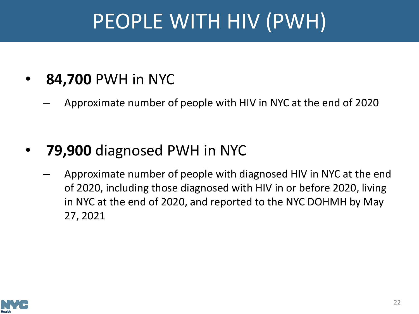# PEOPLE WITH HIV (PWH)

- <span id="page-21-0"></span>• **84,700** PWH in NYC
	- Approximate number of people with HIV in NYC at the end of 2020

- **79,900** diagnosed PWH in NYC
	- Approximate number of people with diagnosed HIV in NYC at the end of 2020, including those diagnosed with HIV in or before 2020, living in NYC at the end of 2020, and reported to the NYC DOHMH by May 27, 2021

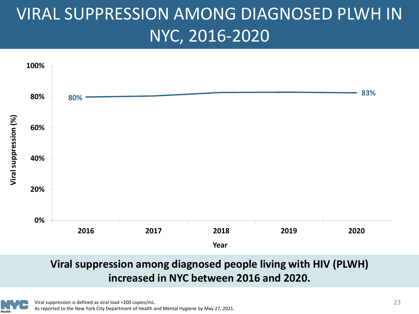## <span id="page-22-0"></span>VIRAL SUPPRESSION AMONG DIAGNOSED PLWH IN NYC, 2016-2020



#### **Viral suppression among diagnosed people living with HIV (PLWH) increased in NYC between 2016 and 2020.**

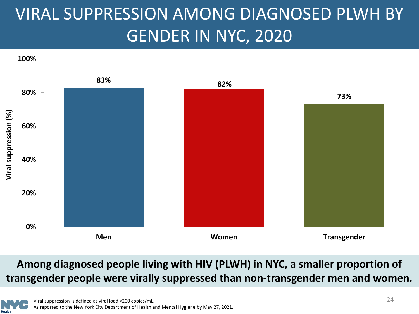## <span id="page-23-0"></span>VIRAL SUPPRESSION AMONG DIAGNOSED PLWH BY GENDER IN NYC, 2020



#### **Among diagnosed people living with HIV (PLWH) in NYC, a smaller proportion of transgender people were virally suppressed than non-transgender men and women.**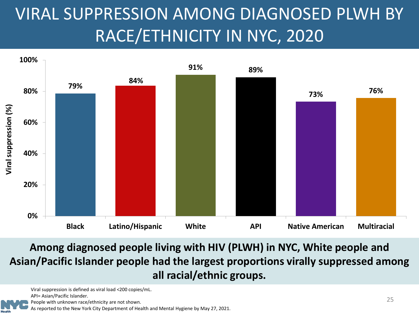## <span id="page-24-0"></span>VIRAL SUPPRESSION AMONG DIAGNOSED PLWH BY RACE/ETHNICITY IN NYC, 2020



**Among diagnosed people living with HIV (PLWH) in NYC, White people and Asian/Pacific Islander people had the largest proportions virally suppressed among all racial/ethnic groups.**

Viral suppression is defined as viral load <200 copies/mL.

API= Asian/Pacific Islander.

People with unknown race/ethnicity are not shown.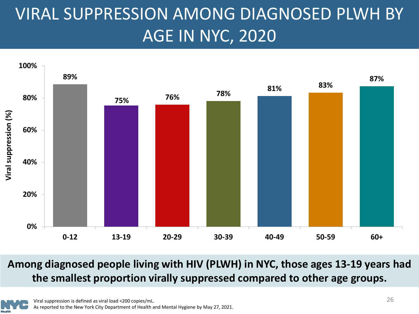## <span id="page-25-0"></span>VIRAL SUPPRESSION AMONG DIAGNOSED PLWH BY AGE IN NYC, 2020



**Among diagnosed people living with HIV (PLWH) in NYC, those ages 13-19 years had the smallest proportion virally suppressed compared to other age groups.**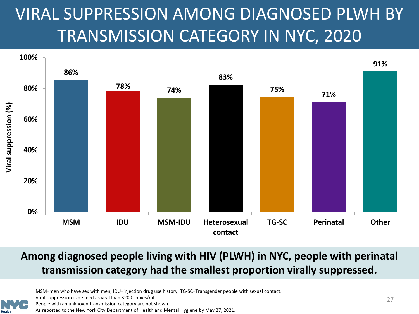## <span id="page-26-0"></span>VIRAL SUPPRESSION AMONG DIAGNOSED PLWH BY TRANSMISSION CATEGORY IN NYC, 2020



#### **Among diagnosed people living with HIV (PLWH) in NYC, people with perinatal transmission category had the smallest proportion virally suppressed.**



MSM=men who have sex with men; IDU=injection drug use history; TG-SC=Transgender people with sexual contact. Viral suppression is defined as viral load <200 copies/mL.

People with an unknown transmission category are not shown.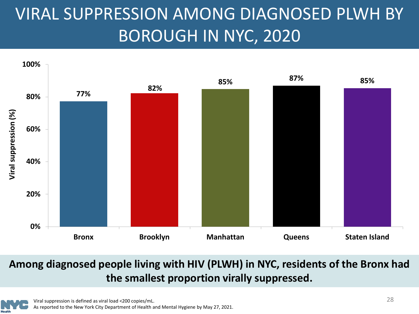## <span id="page-27-0"></span>VIRAL SUPPRESSION AMONG DIAGNOSED PLWH BY BOROUGH IN NYC, 2020



#### **Among diagnosed people living with HIV (PLWH) in NYC, residents of the Bronx had the smallest proportion virally suppressed.**

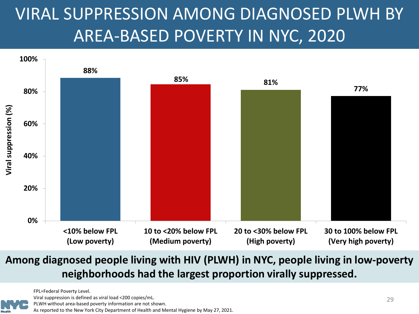## <span id="page-28-0"></span>VIRAL SUPPRESSION AMONG DIAGNOSED PLWH BY AREA-BASED POVERTY IN NYC, 2020



#### **Among diagnosed people living with HIV (PLWH) in NYC, people living in low-poverty neighborhoods had the largest proportion virally suppressed.**

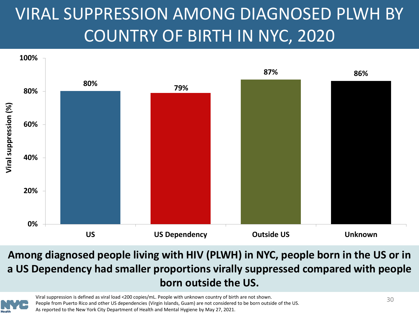## <span id="page-29-0"></span>VIRAL SUPPRESSION AMONG DIAGNOSED PLWH BY COUNTRY OF BIRTH IN NYC, 2020



**Among diagnosed people living with HIV (PLWH) in NYC, people born in the US or in a US Dependency had smaller proportions virally suppressed compared with people born outside the US.**

Viral suppression is defined as viral load <200 copies/mL. People with unknown country of birth are not shown. People from Puerto Rico and other US dependencies (Virgin Islands, Guam) are not considered to be born outside of the US. As reported to the New York City Department of Health and Mental Hygiene by May 27, 2021.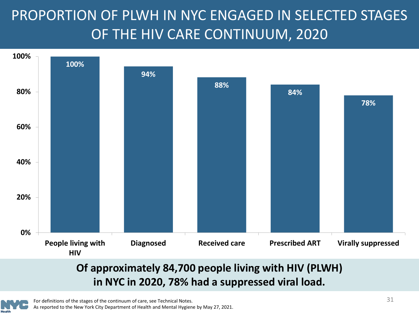### <span id="page-30-0"></span>PROPORTION OF PLWH IN NYC ENGAGED IN SELECTED STAGES OF THE HIV CARE CONTINUUM, 2020



#### **Of approximately 84,700 people living with HIV (PLWH) in NYC in 2020, 78% had a suppressed viral load.**

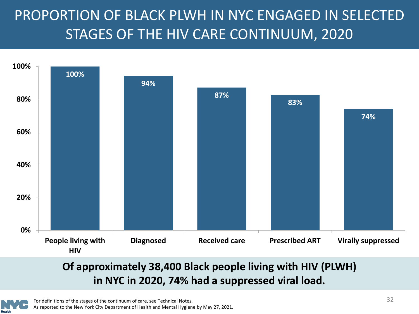### <span id="page-31-0"></span>PROPORTION OF BLACK PLWH IN NYC ENGAGED IN SELECTED STAGES OF THE HIV CARE CONTINUUM, 2020



#### **Of approximately 38,400 Black people living with HIV (PLWH) in NYC in 2020, 74% had a suppressed viral load.**

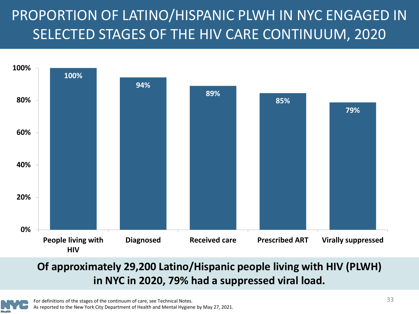### <span id="page-32-0"></span>PROPORTION OF LATINO/HISPANIC PLWH IN NYC ENGAGED IN SELECTED STAGES OF THE HIV CARE CONTINUUM, 2020



#### **Of approximately 29,200 Latino/Hispanic people living with HIV (PLWH) in NYC in 2020, 79% had a suppressed viral load.**

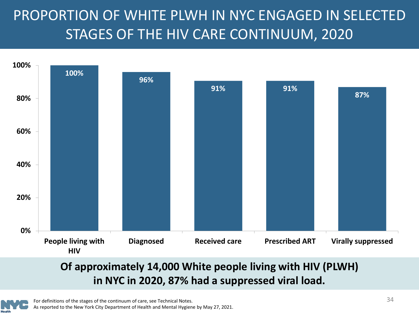### <span id="page-33-0"></span>PROPORTION OF WHITE PLWH IN NYC ENGAGED IN SELECTED STAGES OF THE HIV CARE CONTINUUM, 2020



#### **Of approximately 14,000 White people living with HIV (PLWH) in NYC in 2020, 87% had a suppressed viral load.**

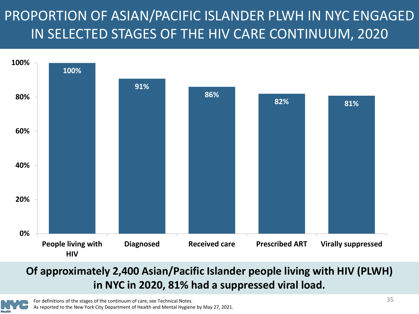### <span id="page-34-0"></span>PROPORTION OF ASIAN/PACIFIC ISLANDER PLWH IN NYC ENGAGED IN SELECTED STAGES OF THE HIV CARE CONTINUUM, 2020



#### **Of approximately 2,400 Asian/Pacific Islander people living with HIV (PLWH) in NYC in 2020, 81% had a suppressed viral load.**

For definitions of the stages of the continuum of care, see Technical Notes. As reported to the New York City Department of Health and Mental Hygiene by May 27, 2021.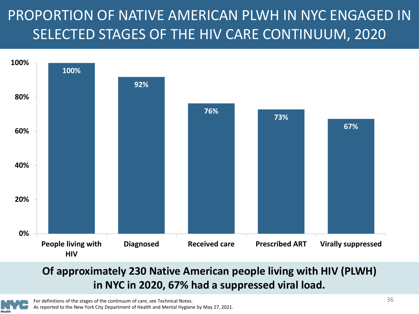### <span id="page-35-0"></span>PROPORTION OF NATIVE AMERICAN PLWH IN NYC ENGAGED IN SELECTED STAGES OF THE HIV CARE CONTINUUM, 2020



#### **Of approximately 230 Native American people living with HIV (PLWH) in NYC in 2020, 67% had a suppressed viral load.**

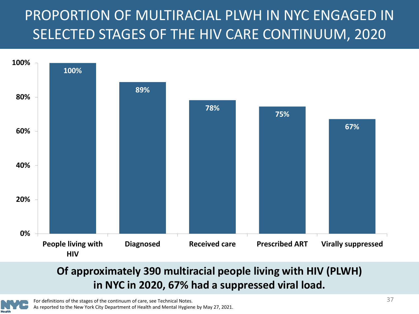### <span id="page-36-0"></span>PROPORTION OF MULTIRACIAL PLWH IN NYC ENGAGED IN SELECTED STAGES OF THE HIV CARE CONTINUUM, 2020



#### **Of approximately 390 multiracial people living with HIV (PLWH) in NYC in 2020, 67% had a suppressed viral load.**

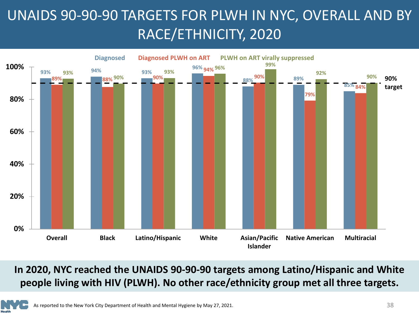### <span id="page-37-0"></span>UNAIDS 90-90-90 TARGETS FOR PLWH IN NYC, OVERALL AND BY RACE/ETHNICITY, 2020



#### **In 2020, NYC reached the UNAIDS 90-90-90 targets among Latino/Hispanic and White people living with HIV (PLWH). No other race/ethnicity group met all three targets.**

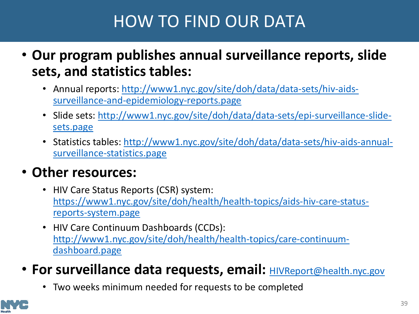### HOW TO FIND OUR DATA

- <span id="page-38-0"></span>• **Our program publishes annual surveillance reports, slide sets, and statistics tables:**
	- [Annual reports: http://www1.nyc.gov/site/doh/data/data-sets/hiv-aids](http://www1.nyc.gov/site/doh/data/data-sets/hiv-aids-surveillance-and-epidemiology-reports.page)surveillance-and-epidemiology-reports.page
	- [Slide sets: http://www1.nyc.gov/site/doh/data/data-sets/epi-surveillance-slide](http://www1.nyc.gov/site/doh/data/data-sets/epi-surveillance-slide-sets.page)sets.page
	- [Statistics tables: http://www1.nyc.gov/site/doh/data/data-sets/hiv-aids-annual](http://www1.nyc.gov/site/doh/data/data-sets/hiv-aids-annual-surveillance-statistics.page)surveillance-statistics.page

### • **Other resources:**

- HIV Care Status Reports (CSR) system: [https://www1.nyc.gov/site/doh/health/health-topics/aids-hiv-care-status](https://www1.nyc.gov/site/doh/health/health-topics/aids-hiv-care-status-reports-system.page)reports-system.page
- HIV Care Continuum Dashboards (CCDs): [http://www1.nyc.gov/site/doh/health/health-topics/care-continuum](http://www1.nyc.gov/site/doh/health/health-topics/care-continuum-dashboard.page)dashboard.page
- For surveillance data requests, email: **[HIVReport@health.nyc.gov](mailto:HIVReport@health.nyc.gov)** 
	- Two weeks minimum needed for requests to be completed

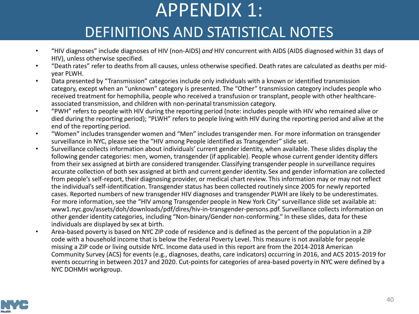# APPENDIX 1:

### DEFINITIONS AND STATISTICAL NOTES

- <span id="page-39-0"></span>• "HIV diagnoses" include diagnoses of HIV (non-AIDS) *and* HIV concurrent with AIDS (AIDS diagnosed within 31 days of HIV), unless otherwise specified.
- "Death rates" refer to deaths from all causes, unless otherwise specified. Death rates are calculated as deaths per midyear PLWH.
- Data presented by "Transmission" categories include only individuals with a known or identified transmission category, except when an "unknown" category is presented. The "Other" transmission category includes people who received treatment for hemophilia, people who received a transfusion or transplant, people with other healthcareassociated transmission, and children with non-perinatal transmission category.
- "PWH" refers to people with HIV during the reporting period (note: includes people with HIV who remained alive or died during the reporting period); "PLWH" refers to people living with HIV during the reporting period and alive at the end of the reporting period.
- "Women" includes transgender women and "Men" includes transgender men. For more information on transgender surveillance in NYC, please see the "HIV among People identified as Transgender" slide set.
- Surveillance collects information about individuals' current gender identity, when available. These slides display the following gender categories: men, women, transgender (if applicable). People whose current gender identity differs from their sex assigned at birth are considered transgender. Classifying transgender people in surveillance requires accurate collection of both sex assigned at birth and current gender identity. Sex and gender information are collected from people's self-report, their diagnosing provider, or medical chart review. This information may or may not reflect the individual's self-identification. Transgender status has been collected routinely since 2005 for newly reported cases. Reported numbers of new transgender HIV diagnoses and transgender PLWH are likely to be underestimates. For more information, see the "HIV among Transgender people in New York City" surveillance slide set available at: www1.nyc.gov/assets/doh/downloads/pdf/dires/hiv-in-transgender-persons.pdf. Surveillance collects information on other gender identity categories, including "Non-binary/Gender non-conforming." In these slides, data for these individuals are displayed by sex at birth.
- Area-based poverty is based on NYC ZIP code of residence and is defined as the percent of the population in a ZIP code with a household income that is below the Federal Poverty Level. This measure is not available for people missing a ZIP code or living outside NYC. Income data used in this report are from the 2014-2018 American Community Survey (ACS) for events (e.g., diagnoses, deaths, care indicators) occurring in 2016, and ACS 2015-2019 for events occurring in between 2017 and 2020. Cut-points for categories of area-based poverty in NYC were defined by a NYC DOHMH workgroup.